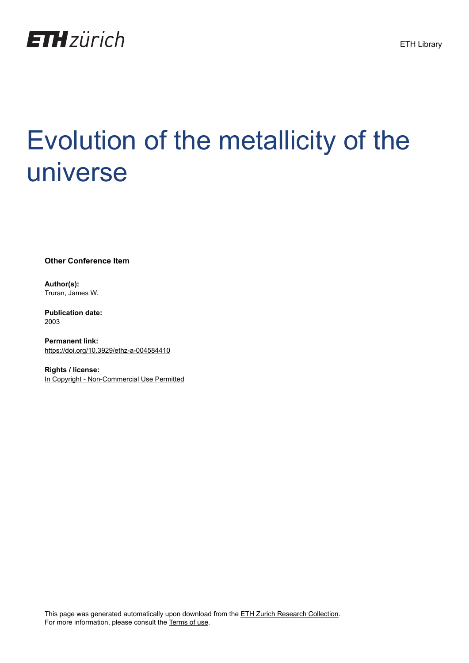

## Evolution of the metallicity of the universe

**Other Conference Item**

**Author(s):** Truran, James W.

**Publication date:** 2003

**Permanent link:** <https://doi.org/10.3929/ethz-a-004584410>

**Rights / license:** [In Copyright - Non-Commercial Use Permitted](http://rightsstatements.org/page/InC-NC/1.0/)